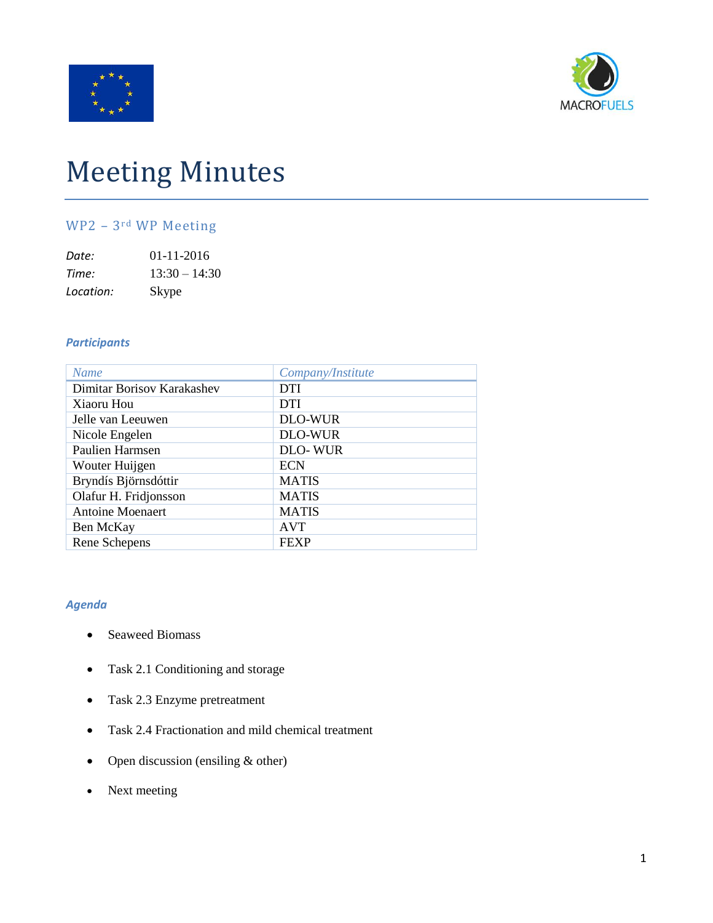



# Meeting Minutes

# WP2 – 3rd WP Meeting

| Date:     | $01 - 11 - 2016$ |
|-----------|------------------|
| Time:     | $13:30 - 14:30$  |
| Location: | Skype            |

#### *Participants*

| <b>Name</b>                | Company/Institute |
|----------------------------|-------------------|
| Dimitar Borisov Karakashev | <b>DTI</b>        |
| Xiaoru Hou                 | <b>DTI</b>        |
| Jelle van Leeuwen          | <b>DLO-WUR</b>    |
| Nicole Engelen             | <b>DLO-WUR</b>    |
| Paulien Harmsen            | <b>DLO-WUR</b>    |
| Wouter Huijgen             | <b>ECN</b>        |
| Bryndís Björnsdóttir       | <b>MATIS</b>      |
| Olafur H. Fridjonsson      | <b>MATIS</b>      |
| <b>Antoine Moenaert</b>    | <b>MATIS</b>      |
| Ben McKay                  | <b>AVT</b>        |
| Rene Schepens              | <b>FEXP</b>       |

## *Agenda*

- Seaweed Biomass
- Task 2.1 Conditioning and storage
- Task 2.3 Enzyme pretreatment
- Task 2.4 Fractionation and mild chemical treatment
- Open discussion (ensiling & other)
- Next meeting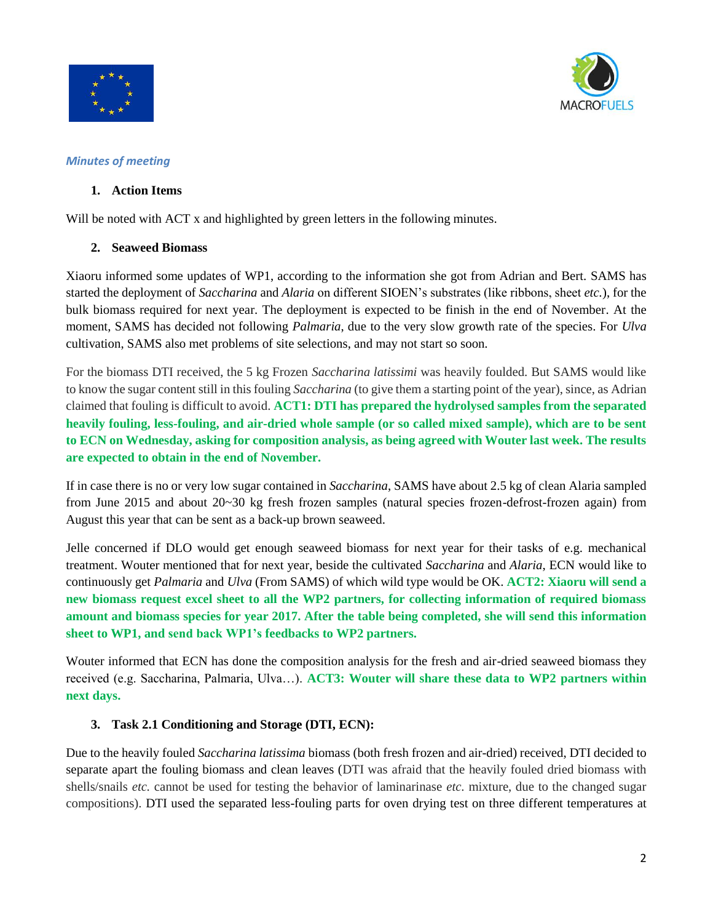



#### *Minutes of meeting*

## **1. Action Items**

Will be noted with ACT x and highlighted by green letters in the following minutes.

#### **2. Seaweed Biomass**

Xiaoru informed some updates of WP1, according to the information she got from Adrian and Bert. SAMS has started the deployment of *Saccharina* and *Alaria* on different SIOEN's substrates (like ribbons, sheet *etc.*), for the bulk biomass required for next year. The deployment is expected to be finish in the end of November. At the moment, SAMS has decided not following *Palmaria*, due to the very slow growth rate of the species. For *Ulva* cultivation, SAMS also met problems of site selections, and may not start so soon.

For the biomass DTI received, the 5 kg Frozen *Saccharina latissimi* was heavily foulded. But SAMS would like to know the sugar content still in this fouling *Saccharina* (to give them a starting point of the year), since, as Adrian claimed that fouling is difficult to avoid. **ACT1: DTI has prepared the hydrolysed samples from the separated heavily fouling, less-fouling, and air-dried whole sample (or so called mixed sample), which are to be sent to ECN on Wednesday, asking for composition analysis, as being agreed with Wouter last week. The results are expected to obtain in the end of November.**

If in case there is no or very low sugar contained in *Saccharina*, SAMS have about 2.5 kg of clean Alaria sampled from June 2015 and about 20~30 kg fresh frozen samples (natural species frozen-defrost-frozen again) from August this year that can be sent as a back-up brown seaweed.

Jelle concerned if DLO would get enough seaweed biomass for next year for their tasks of e.g. mechanical treatment. Wouter mentioned that for next year, beside the cultivated *Saccharina* and *Alaria*, ECN would like to continuously get *Palmaria* and *Ulva* (From SAMS) of which wild type would be OK. **ACT2: Xiaoru will send a new biomass request excel sheet to all the WP2 partners, for collecting information of required biomass amount and biomass species for year 2017. After the table being completed, she will send this information sheet to WP1, and send back WP1's feedbacks to WP2 partners.** 

Wouter informed that ECN has done the composition analysis for the fresh and air-dried seaweed biomass they received (e.g. Saccharina, Palmaria, Ulva…). **ACT3: Wouter will share these data to WP2 partners within next days.**

## **3. Task 2.1 Conditioning and Storage (DTI, ECN):**

Due to the heavily fouled *Saccharina latissima* biomass (both fresh frozen and air-dried) received, DTI decided to separate apart the fouling biomass and clean leaves (DTI was afraid that the heavily fouled dried biomass with shells/snails *etc.* cannot be used for testing the behavior of laminarinase *etc.* mixture, due to the changed sugar compositions). DTI used the separated less-fouling parts for oven drying test on three different temperatures at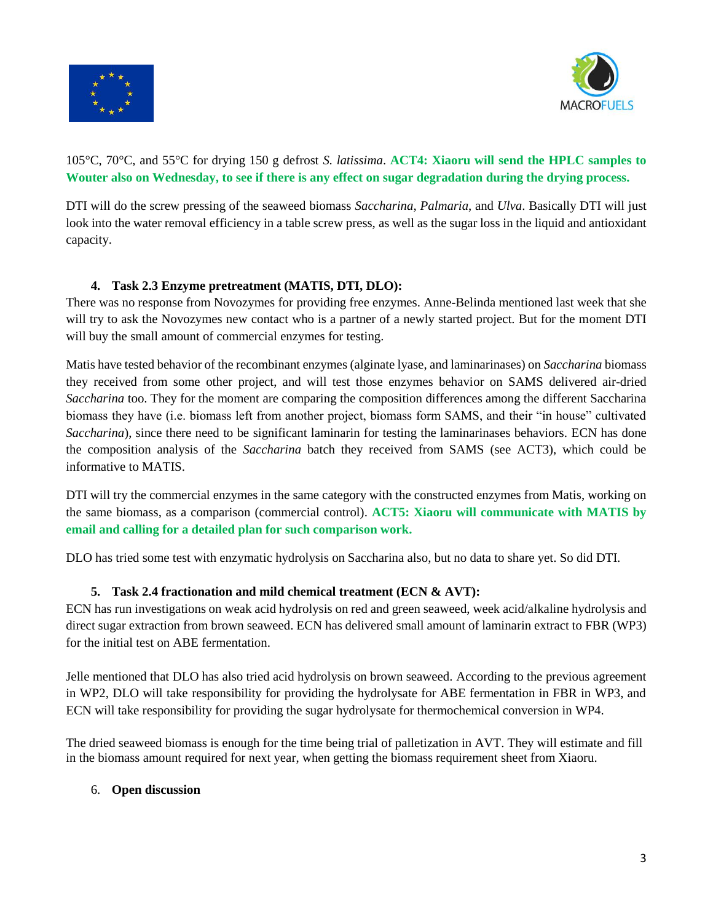



# 105°C, 70°C, and 55°C for drying 150 g defrost *S. latissima*. **ACT4: Xiaoru will send the HPLC samples to Wouter also on Wednesday, to see if there is any effect on sugar degradation during the drying process.**

DTI will do the screw pressing of the seaweed biomass *Saccharina*, *Palmaria*, and *Ulva*. Basically DTI will just look into the water removal efficiency in a table screw press, as well as the sugar loss in the liquid and antioxidant capacity.

# **4. Task 2.3 Enzyme pretreatment (MATIS, DTI, DLO):**

There was no response from Novozymes for providing free enzymes. Anne-Belinda mentioned last week that she will try to ask the Novozymes new contact who is a partner of a newly started project. But for the moment DTI will buy the small amount of commercial enzymes for testing.

Matis have tested behavior of the recombinant enzymes (alginate lyase, and laminarinases) on *Saccharina* biomass they received from some other project, and will test those enzymes behavior on SAMS delivered air-dried *Saccharina* too. They for the moment are comparing the composition differences among the different Saccharina biomass they have (i.e. biomass left from another project, biomass form SAMS, and their "in house" cultivated *Saccharina*), since there need to be significant laminarin for testing the laminarinases behaviors. ECN has done the composition analysis of the *Saccharina* batch they received from SAMS (see ACT3), which could be informative to MATIS.

DTI will try the commercial enzymes in the same category with the constructed enzymes from Matis, working on the same biomass, as a comparison (commercial control). **ACT5: Xiaoru will communicate with MATIS by email and calling for a detailed plan for such comparison work.**

DLO has tried some test with enzymatic hydrolysis on Saccharina also, but no data to share yet. So did DTI.

## **5. Task 2.4 fractionation and mild chemical treatment (ECN & AVT):**

ECN has run investigations on weak acid hydrolysis on red and green seaweed, week acid/alkaline hydrolysis and direct sugar extraction from brown seaweed. ECN has delivered small amount of laminarin extract to FBR (WP3) for the initial test on ABE fermentation.

Jelle mentioned that DLO has also tried acid hydrolysis on brown seaweed. According to the previous agreement in WP2, DLO will take responsibility for providing the hydrolysate for ABE fermentation in FBR in WP3, and ECN will take responsibility for providing the sugar hydrolysate for thermochemical conversion in WP4.

The dried seaweed biomass is enough for the time being trial of palletization in AVT. They will estimate and fill in the biomass amount required for next year, when getting the biomass requirement sheet from Xiaoru.

#### 6. **Open discussion**